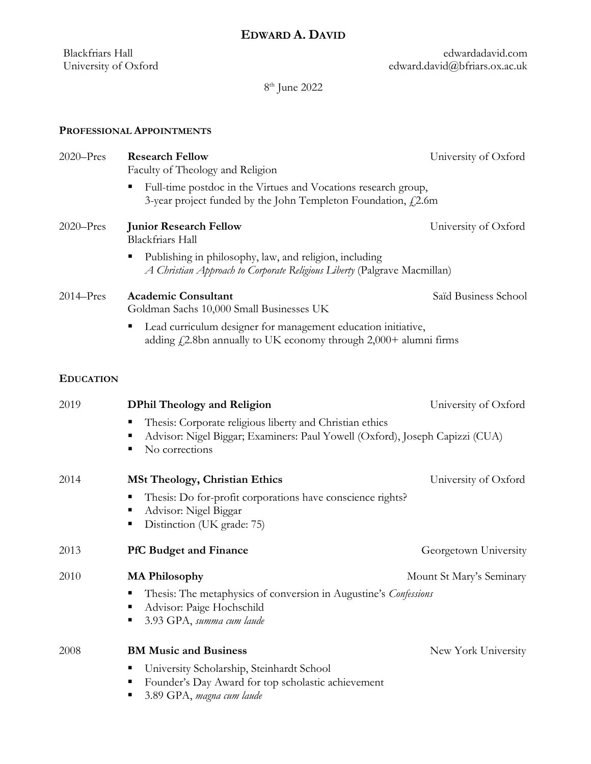edwardadavid.com edward.david@bfriars.ox.ac.uk

8 th June 2022

**PROFESSIONAL APPOINTMENTS**

Blackfriars Hall University of Oxford

| $2020 - Pres$    | <b>Research Fellow</b><br>Faculty of Theology and Religion                                                                                                                | University of Oxford     |
|------------------|---------------------------------------------------------------------------------------------------------------------------------------------------------------------------|--------------------------|
|                  | Full-time postdoc in the Virtues and Vocations research group,<br>3-year project funded by the John Templeton Foundation, $f_1$ 2.6m                                      |                          |
| $2020 - Pres$    | <b>Junior Research Fellow</b><br><b>Blackfriars Hall</b>                                                                                                                  | University of Oxford     |
|                  | Publishing in philosophy, law, and religion, including<br>A Christian Approach to Corporate Religious Liberty (Palgrave Macmillan)                                        |                          |
| $2014 - Pres$    | <b>Academic Consultant</b><br>Goldman Sachs 10,000 Small Businesses UK                                                                                                    | Saïd Business School     |
|                  | Lead curriculum designer for management education initiative,<br>п<br>adding $f_{\rm s}$ 2.8bn annually to UK economy through 2,000+ alumni firms                         |                          |
| <b>EDUCATION</b> |                                                                                                                                                                           |                          |
| 2019             | <b>DPhil Theology and Religion</b>                                                                                                                                        | University of Oxford     |
|                  | Thesis: Corporate religious liberty and Christian ethics<br>п<br>Advisor: Nigel Biggar; Examiners: Paul Yowell (Oxford), Joseph Capizzi (CUA)<br>п<br>No corrections<br>п |                          |
| 2014             | <b>MSt Theology, Christian Ethics</b>                                                                                                                                     | University of Oxford     |
|                  | Thesis: Do for-profit corporations have conscience rights?<br>Е<br>Advisor: Nigel Biggar<br>п<br>Distinction (UK grade: 75)<br>п                                          |                          |
| 2013             | <b>PfC Budget and Finance</b>                                                                                                                                             | Georgetown University    |
| 2010             | <b>MA Philosophy</b>                                                                                                                                                      | Mount St Mary's Seminary |
|                  | Thesis: The metaphysics of conversion in Augustine's Confessions<br>п<br>Advisor: Paige Hochschild<br>٠<br>3.93 GPA, summa cum laude<br>п                                 |                          |
| 2008             | <b>BM Music and Business</b>                                                                                                                                              | New York University      |
|                  | University Scholarship, Steinhardt School<br>п<br>Founder's Day Award for top scholastic achievement<br>п<br>3.89 GPA, magna cum laude<br>п                               |                          |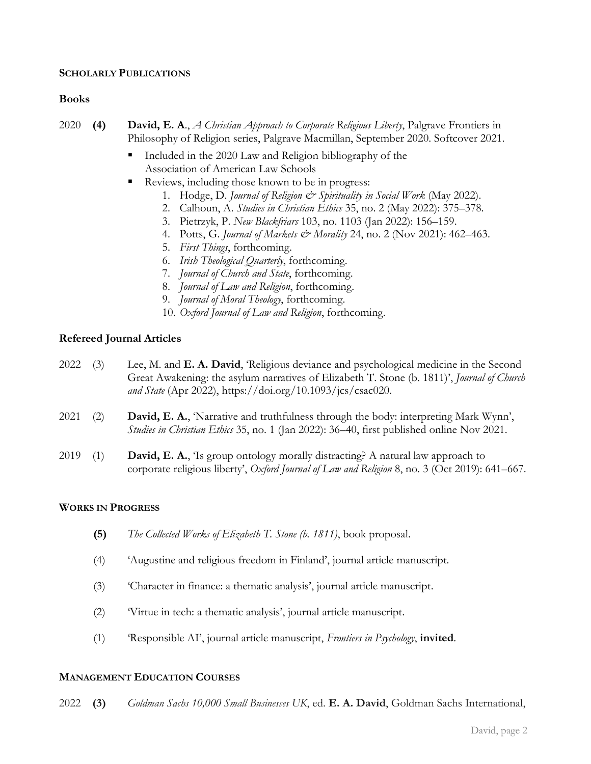## **SCHOLARLY PUBLICATIONS**

## **Books**

- 2020 **(4) David, E. A**., *A Christian Approach to Corporate Religious Liberty*, Palgrave Frontiers in Philosophy of Religion series, Palgrave Macmillan, September 2020. Softcover 2021.
	- Included in the 2020 Law and Religion bibliography of the Association of American Law Schools
	- Reviews, including those known to be in progress:
		- 1. Hodge, D. *Journal of Religion & Spirituality in Social Work* (May 2022).
		- 2. Calhoun, A. *Studies in Christian Ethics* 35, no. 2 (May 2022): 375–378.
		- 3. Pietrzyk, P. *New Blackfriars* 103, no. 1103 (Jan 2022): 156–159.
		- 4. Potts, G. *Journal of Markets & Morality* 24, no. 2 (Nov 2021): 462–463.
		- 5. *First Things*, forthcoming.
		- 6. *Irish Theological Quarterly*, forthcoming.
		- 7. *Journal of Church and State*, forthcoming.
		- 8. *Journal of Law and Religion*, forthcoming.
		- 9. *Journal of Moral Theology*, forthcoming.
		- 10. *Oxford Journal of Law and Religion*, forthcoming.

## **Refereed Journal Articles**

| $2022$ (3) | Lee, M. and <b>E. A. David</b> , Religious deviance and psychological medicine in the Second      |
|------------|---------------------------------------------------------------------------------------------------|
|            | Great Awakening: the asylum narratives of Elizabeth T. Stone (b. 1811)', <i>Journal of Church</i> |
|            | and State (Apr 2022), https://doi.org/10.1093/jcs/csac020.                                        |
|            |                                                                                                   |

- 2021 (2) **David, E. A.**, 'Narrative and truthfulness through the body: interpreting Mark Wynn', *Studies in Christian Ethics* 35, no. 1 (Jan 2022): 36–40, first published online Nov 2021.
- 2019 (1) **David, E. A.**, 'Is group ontology morally distracting? A natural law approach to corporate religious liberty', *Oxford Journal of Law and Religion* 8, no. 3 (Oct 2019): 641–667.

## **WORKS IN PROGRESS**

- **(5)** *The Collected Works of Elizabeth T. Stone (b. 1811)*, book proposal.
- (4) 'Augustine and religious freedom in Finland', journal article manuscript.
- (3) 'Character in finance: a thematic analysis', journal article manuscript.
- (2) 'Virtue in tech: a thematic analysis', journal article manuscript.
- (1) 'Responsible AI', journal article manuscript, *Frontiers in Psychology*, **invited**.

## **MANAGEMENT EDUCATION COURSES**

2022 **(3)** *Goldman Sachs 10,000 Small Businesses UK*, ed. **E. A. David**, Goldman Sachs International,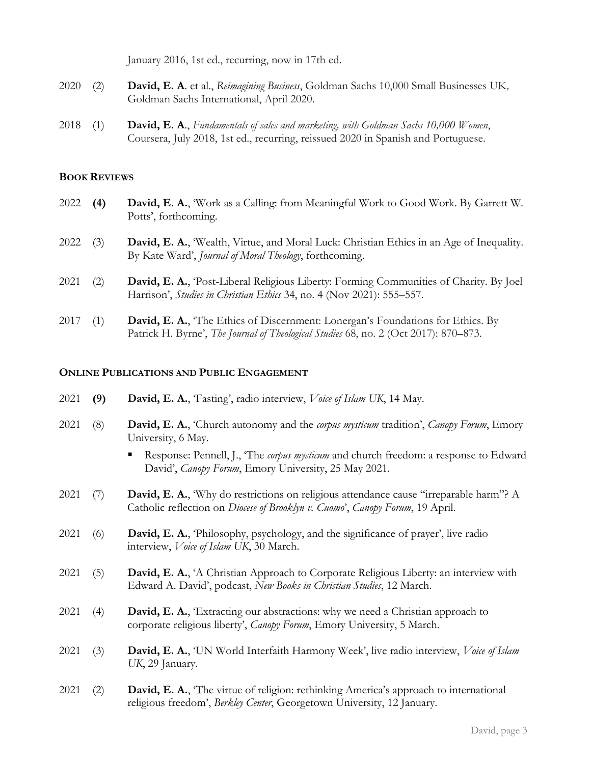January 2016, 1st ed., recurring, now in 17th ed.

- 2020 (2) **David, E. A**. et al., *Reimagining Business*, Goldman Sachs 10,000 Small Businesses UK*,* Goldman Sachs International, April 2020.
- 2018 (1) **David, E. A**., *Fundamentals of sales and marketing, with Goldman Sachs 10,000 Women*, Coursera, July 2018, 1st ed., recurring, reissued 2020 in Spanish and Portuguese.

## **BOOK REVIEWS**

- 2022 **(4) David, E. A.**, 'Work as a Calling: from Meaningful Work to Good Work. By Garrett W. Potts', forthcoming.
- 2022 (3) **David, E. A.**, 'Wealth, Virtue, and Moral Luck: Christian Ethics in an Age of Inequality. By Kate Ward', *Journal of Moral Theology*, forthcoming.
- 2021 (2) **David, E. A.**, 'Post-Liberal Religious Liberty: Forming Communities of Charity. By Joel Harrison', *Studies in Christian Ethics* 34, no. 4 (Nov 2021): 555–557.
- 2017 (1) **David, E. A.**, 'The Ethics of Discernment: Lonergan's Foundations for Ethics. By Patrick H. Byrne', *The Journal of Theological Studies* 68, no. 2 (Oct 2017): 870–873.

## **ONLINE PUBLICATIONS AND PUBLIC ENGAGEMENT**

- 2021 **(9) David, E. A.**, 'Fasting', radio interview, *Voice of Islam UK*, 14 May.
- 2021 (8) **David, E. A.**, 'Church autonomy and the *corpus mysticum* tradition', *Canopy Forum*, Emory University, 6 May.
	- Response: Pennell, J., 'The *corpus mysticum* and church freedom: a response to Edward David', *Canopy Forum*, Emory University, 25 May 2021.
- 2021 (7) **David, E. A.**, 'Why do restrictions on religious attendance cause "irreparable harm"? A Catholic reflection on *Diocese of Brooklyn v. Cuomo*', *Canopy Forum*, 19 April.
- 2021 (6) **David, E. A.**, 'Philosophy, psychology, and the significance of prayer', live radio interview, *Voice of Islam UK*, 30 March.
- 2021 (5) **David, E. A.**, 'A Christian Approach to Corporate Religious Liberty: an interview with Edward A. David', podcast, *New Books in Christian Studies*, 12 March.
- 2021 (4) **David, E. A.**, 'Extracting our abstractions: why we need a Christian approach to corporate religious liberty', *Canopy Forum*, Emory University, 5 March.
- 2021 (3) **David, E. A.**, 'UN World Interfaith Harmony Week', live radio interview, *Voice of Islam UK*, 29 January.
- 2021 (2) **David, E. A.**, 'The virtue of religion: rethinking America's approach to international religious freedom', *Berkley Center*, Georgetown University, 12 January.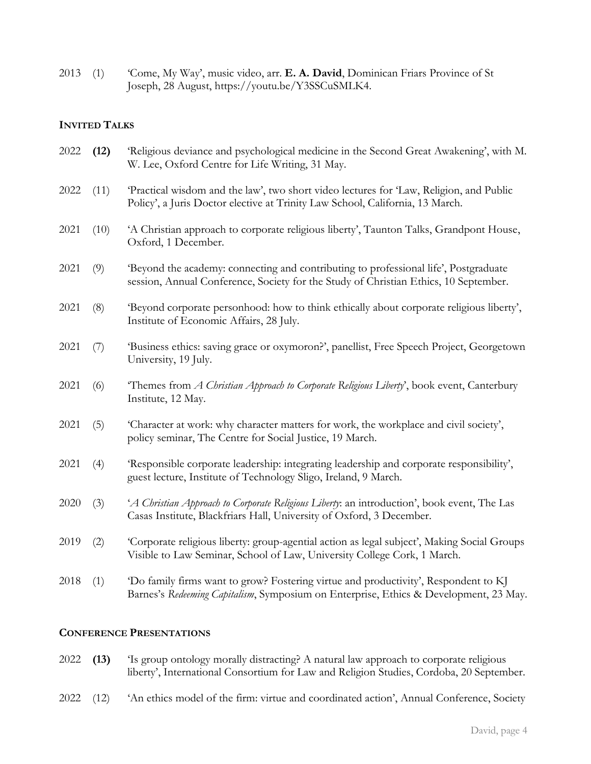2013 (1) 'Come, My Way', music video, arr. **E. A. David**, Dominican Friars Province of St Joseph, 28 August, https://youtu.be/Y3SSCuSMLK4.

## **INVITED TALKS**

| 2022 | (12) | 'Religious deviance and psychological medicine in the Second Great Awakening', with M.<br>W. Lee, Oxford Centre for Life Writing, 31 May.                                    |
|------|------|------------------------------------------------------------------------------------------------------------------------------------------------------------------------------|
| 2022 | (11) | 'Practical wisdom and the law', two short video lectures for 'Law, Religion, and Public<br>Policy', a Juris Doctor elective at Trinity Law School, California, 13 March.     |
| 2021 | (10) | 'A Christian approach to corporate religious liberty', Taunton Talks, Grandpont House,<br>Oxford, 1 December.                                                                |
| 2021 | (9)  | 'Beyond the academy: connecting and contributing to professional life', Postgraduate<br>session, Annual Conference, Society for the Study of Christian Ethics, 10 September. |
| 2021 | (8)  | 'Beyond corporate personhood: how to think ethically about corporate religious liberty',<br>Institute of Economic Affairs, 28 July.                                          |
| 2021 | (7)  | 'Business ethics: saving grace or oxymoron?', panellist, Free Speech Project, Georgetown<br>University, 19 July.                                                             |
| 2021 | (6)  | "Themes from A Christian Approach to Corporate Religious Liberty', book event, Canterbury<br>Institute, 12 May.                                                              |
| 2021 | (5)  | 'Character at work: why character matters for work, the workplace and civil society',<br>policy seminar, The Centre for Social Justice, 19 March.                            |
| 2021 | (4)  | 'Responsible corporate leadership: integrating leadership and corporate responsibility',<br>guest lecture, Institute of Technology Sligo, Ireland, 9 March.                  |
| 2020 | (3)  | 'A Christian Approach to Corporate Religious Liberty: an introduction', book event, The Las<br>Casas Institute, Blackfriars Hall, University of Oxford, 3 December.          |
| 2019 | (2)  | 'Corporate religious liberty: group-agential action as legal subject', Making Social Groups<br>Visible to Law Seminar, School of Law, University College Cork, 1 March.      |
| 2018 | (1)  | 'Do family firms want to grow? Fostering virtue and productivity', Respondent to KJ<br>Barnes's Redeeming Capitalism, Symposium on Enterprise, Ethics & Development, 23 May. |

## **CONFERENCE PRESENTATIONS**

- 2022 **(13)** 'Is group ontology morally distracting? A natural law approach to corporate religious liberty', International Consortium for Law and Religion Studies, Cordoba, 20 September.
- 2022 (12) 'An ethics model of the firm: virtue and coordinated action', Annual Conference, Society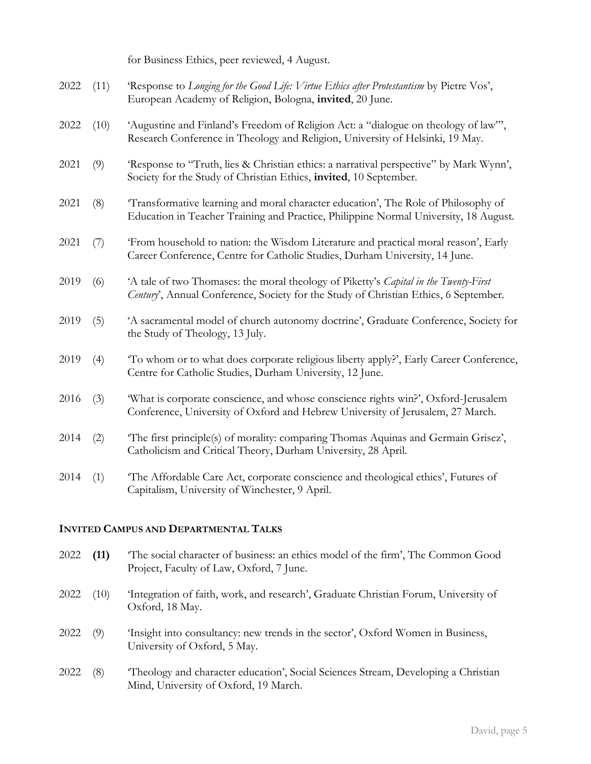for Business Ethics, peer reviewed, 4 August.

| 2022 | (11) | 'Response to Longing for the Good Life: Virtue Ethics after Protestantism by Pietre Vos',<br>European Academy of Religion, Bologna, invited, 20 June.                        |
|------|------|------------------------------------------------------------------------------------------------------------------------------------------------------------------------------|
| 2022 | (10) | 'Augustine and Finland's Freedom of Religion Act: a "dialogue on theology of law"',<br>Research Conference in Theology and Religion, University of Helsinki, 19 May.         |
| 2021 | (9)  | 'Response to "Truth, lies & Christian ethics: a narratival perspective" by Mark Wynn',<br>Society for the Study of Christian Ethics, invited, 10 September.                  |
| 2021 | (8)  | Transformative learning and moral character education', The Role of Philosophy of<br>Education in Teacher Training and Practice, Philippine Normal University, 18 August.    |
| 2021 | (7)  | 'From household to nation: the Wisdom Literature and practical moral reason', Early<br>Career Conference, Centre for Catholic Studies, Durham University, 14 June.           |
| 2019 | (6)  | 'A tale of two Thomases: the moral theology of Piketty's Capital in the Twenty-First<br>Century', Annual Conference, Society for the Study of Christian Ethics, 6 September. |
| 2019 | (5)  | 'A sacramental model of church autonomy doctrine', Graduate Conference, Society for<br>the Study of Theology, 13 July.                                                       |
| 2019 | (4)  | 'To whom or to what does corporate religious liberty apply?', Early Career Conference,<br>Centre for Catholic Studies, Durham University, 12 June.                           |
| 2016 | (3)  | 'What is corporate conscience, and whose conscience rights win?', Oxford-Jerusalem<br>Conference, University of Oxford and Hebrew University of Jerusalem, 27 March.         |
| 2014 | (2)  | The first principle(s) of morality: comparing Thomas Aquinas and Germain Grisez',<br>Catholicism and Critical Theory, Durham University, 28 April.                           |
| 2014 | (1)  | 'The Affordable Care Act, corporate conscience and theological ethics', Futures of<br>Capitalism, University of Winchester, 9 April.                                         |

## **INVITED CAMPUS AND DEPARTMENTAL TALKS**

- 2022 **(11)** 'The social character of business: an ethics model of the firm', The Common Good Project, Faculty of Law, Oxford, 7 June.
- 2022 (10) 'Integration of faith, work, and research', Graduate Christian Forum, University of Oxford, 18 May.
- 2022 (9) 'Insight into consultancy: new trends in the sector', Oxford Women in Business, University of Oxford, 5 May.
- 2022 (8) 'Theology and character education', Social Sciences Stream, Developing a Christian Mind, University of Oxford, 19 March.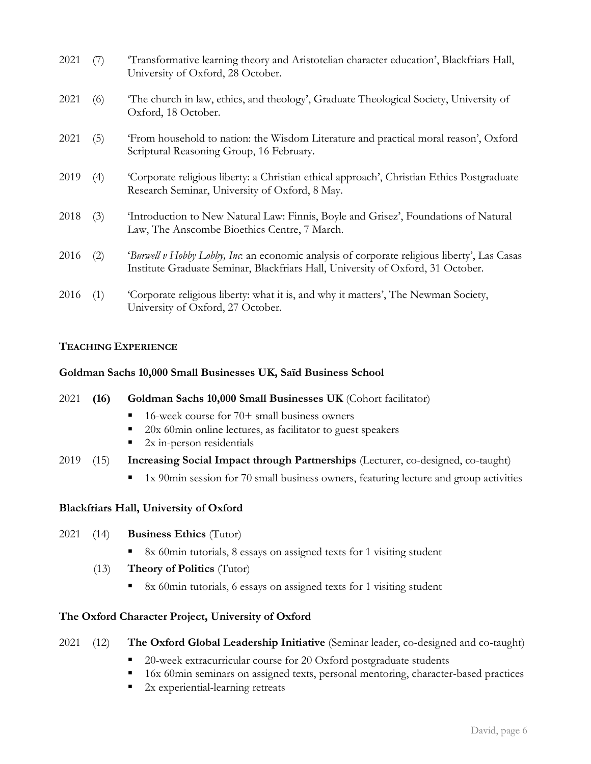| 2021 | (7) | Transformative learning theory and Aristotelian character education', Blackfriars Hall,<br>University of Oxford, 28 October.                                                           |
|------|-----|----------------------------------------------------------------------------------------------------------------------------------------------------------------------------------------|
| 2021 | (6) | 'The church in law, ethics, and theology', Graduate Theological Society, University of<br>Oxford, 18 October.                                                                          |
| 2021 | (5) | 'From household to nation: the Wisdom Literature and practical moral reason', Oxford<br>Scriptural Reasoning Group, 16 February.                                                       |
| 2019 | (4) | 'Corporate religious liberty: a Christian ethical approach', Christian Ethics Postgraduate<br>Research Seminar, University of Oxford, 8 May.                                           |
| 2018 | (3) | 'Introduction to New Natural Law: Finnis, Boyle and Grisez', Foundations of Natural<br>Law, The Anscombe Bioethics Centre, 7 March.                                                    |
| 2016 | (2) | <i>'Burwell v Hobby Lobby, Inc.</i> an economic analysis of corporate religious liberty', Las Casas<br>Institute Graduate Seminar, Blackfriars Hall, University of Oxford, 31 October. |
| 2016 | (1) | 'Corporate religious liberty: what it is, and why it matters', The Newman Society,<br>University of Oxford, 27 October.                                                                |

## **TEACHING EXPERIENCE**

## **Goldman Sachs 10,000 Small Businesses UK, Saïd Business School**

2021 **(16) Goldman Sachs 10,000 Small Businesses UK** (Cohort facilitator)  $\blacksquare$  16-week course for 70+ small business owners 20x 60min online lectures, as facilitator to guest speakers  $\blacksquare$  2x in-person residentials

- 2019 (15) **Increasing Social Impact through Partnerships** (Lecturer, co-designed, co-taught)
	- 1x 90min session for 70 small business owners, featuring lecture and group activities

# **Blackfriars Hall, University of Oxford**

## 2021 (14) **Business Ethics** (Tutor)

- 8x 60min tutorials, 8 essays on assigned texts for 1 visiting student
- (13) **Theory of Politics** (Tutor)
	- 8x 60min tutorials, 6 essays on assigned texts for 1 visiting student

# **The Oxford Character Project, University of Oxford**

# 2021 (12) **The Oxford Global Leadership Initiative** (Seminar leader, co-designed and co-taught)

- 20-week extracurricular course for 20 Oxford postgraduate students
- 16x 60min seminars on assigned texts, personal mentoring, character-based practices
- 2x experiential-learning retreats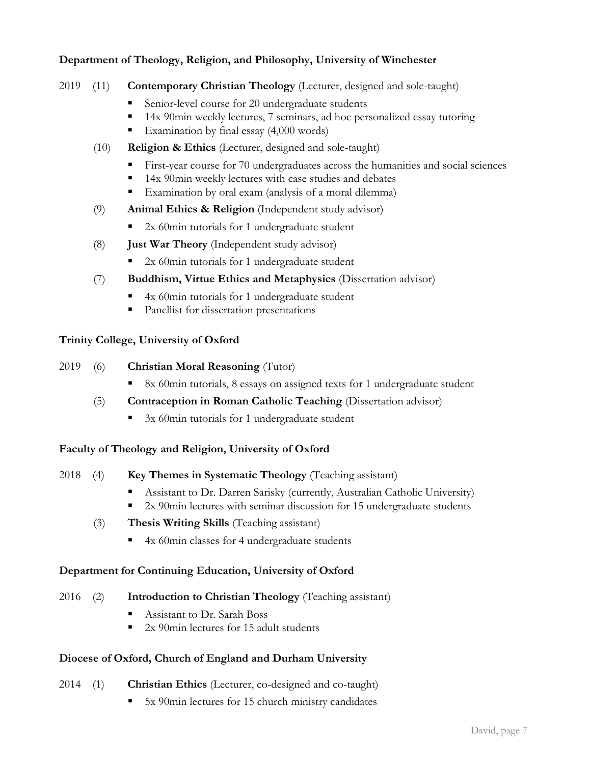# **Department of Theology, Religion, and Philosophy, University of Winchester**

- 2019 (11) **Contemporary Christian Theology** (Lecturer, designed and sole-taught)
	- Senior-level course for 20 undergraduate students
	- 14x 90min weekly lectures, 7 seminars, ad hoc personalized essay tutoring
	- Examination by final essay (4,000 words)
	- (10) **Religion & Ethics** (Lecturer, designed and sole-taught)
		- First-year course for 70 undergraduates across the humanities and social sciences
		- 14x 90min weekly lectures with case studies and debates
		- Examination by oral exam (analysis of a moral dilemma)
	- (9) **Animal Ethics & Religion** (Independent study advisor)
		- 2x 60min tutorials for 1 undergraduate student
	- (8) **Just War Theory** (Independent study advisor)
		- 2x 60min tutorials for 1 undergraduate student
	- (7) **Buddhism, Virtue Ethics and Metaphysics** (Dissertation advisor)
		- 4x 60min tutorials for 1 undergraduate student
		- Panellist for dissertation presentations

# **Trinity College, University of Oxford**

- 2019 (6) **Christian Moral Reasoning** (Tutor)
	- 8x 60min tutorials, 8 essays on assigned texts for 1 undergraduate student
	- (5) **Contraception in Roman Catholic Teaching** (Dissertation advisor)
		- 3x 60min tutorials for 1 undergraduate student

# **Faculty of Theology and Religion, University of Oxford**

- 2018 (4) **Key Themes in Systematic Theology** (Teaching assistant)
	- Assistant to Dr. Darren Sarisky (currently, Australian Catholic University)
	- 2x 90min lectures with seminar discussion for 15 undergraduate students
	- (3) **Thesis Writing Skills** (Teaching assistant)
		- 4x 60min classes for 4 undergraduate students

## **Department for Continuing Education, University of Oxford**

- 2016 (2) **Introduction to Christian Theology** (Teaching assistant)
	- Assistant to Dr. Sarah Boss
	- 2x 90 $\text{min}$  lectures for 15 adult students

## **Diocese of Oxford, Church of England and Durham University**

- 2014 (1) **Christian Ethics** (Lecturer, co-designed and co-taught)
	- 5x 90min lectures for 15 church ministry candidates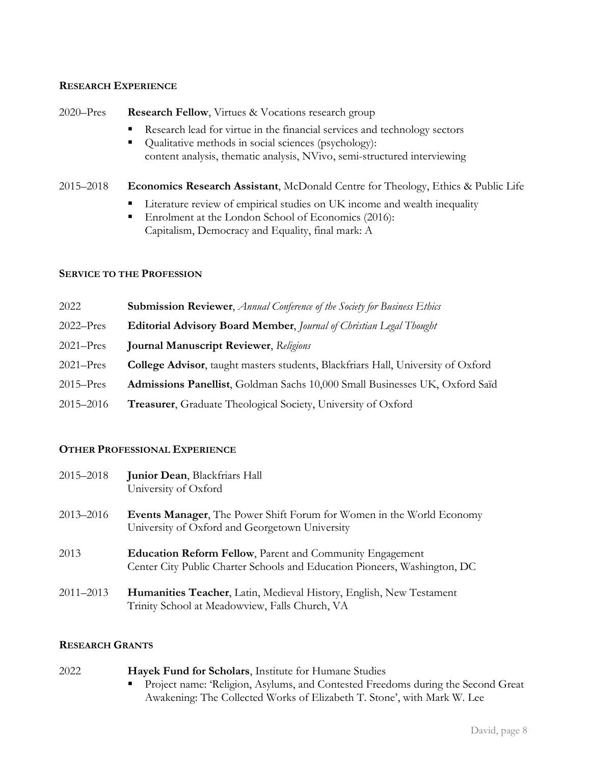## **RESEARCH EXPERIENCE**

| $2020 - Pres$ | <b>Research Fellow, Virtues &amp; Vocations research group</b> |
|---------------|----------------------------------------------------------------|
|---------------|----------------------------------------------------------------|

- Research lead for virtue in the financial services and technology sectors
- Qualitative methods in social sciences (psychology): content analysis, thematic analysis, NVivo, semi-structured interviewing
- 2015–2018 **Economics Research Assistant**, McDonald Centre for Theology, Ethics & Public Life
	- **EXECUTE:** Literature review of empirical studies on UK income and wealth inequality
	- Enrolment at the London School of Economics (2016): Capitalism, Democracy and Equality, final mark: A

#### **SERVICE TO THE PROFESSION**

| 2022          | <b>Submission Reviewer, Annual Conference of the Society for Business Ethics</b>         |
|---------------|------------------------------------------------------------------------------------------|
| $2022 - Pres$ | <b>Editorial Advisory Board Member, Journal of Christian Legal Thought</b>               |
| $2021 - Pres$ | <b>Journal Manuscript Reviewer</b> , Religions                                           |
| $2021 - Pres$ | <b>College Advisor</b> , taught masters students, Blackfriars Hall, University of Oxford |
| $2015 - Pres$ | Admissions Panellist, Goldman Sachs 10,000 Small Businesses UK, Oxford Saïd              |
| 2015–2016     | <b>Treasurer</b> , Graduate Theological Society, University of Oxford                    |

## **OTHER PROFESSIONAL EXPERIENCE**

| 2015–2018 | <b>Junior Dean, Blackfriars Hall</b><br>University of Oxford                                                                                 |
|-----------|----------------------------------------------------------------------------------------------------------------------------------------------|
| 2013–2016 | <b>Events Manager,</b> The Power Shift Forum for Women in the World Economy<br>University of Oxford and Georgetown University                |
| 2013      | <b>Education Reform Fellow, Parent and Community Engagement</b><br>Center City Public Charter Schools and Education Pioneers, Washington, DC |
| 2011–2013 | <b>Humanities Teacher, Latin, Medieval History, English, New Testament</b><br>Trinity School at Meadowview, Falls Church, VA                 |

## **RESEARCH GRANTS**

| 2022 | Hayek Fund for Scholars, Institute for Humane Studies                              |
|------|------------------------------------------------------------------------------------|
|      | • Project name: 'Religion, Asylums, and Contested Freedoms during the Second Great |
|      | Awakening: The Collected Works of Elizabeth T. Stone', with Mark W. Lee            |